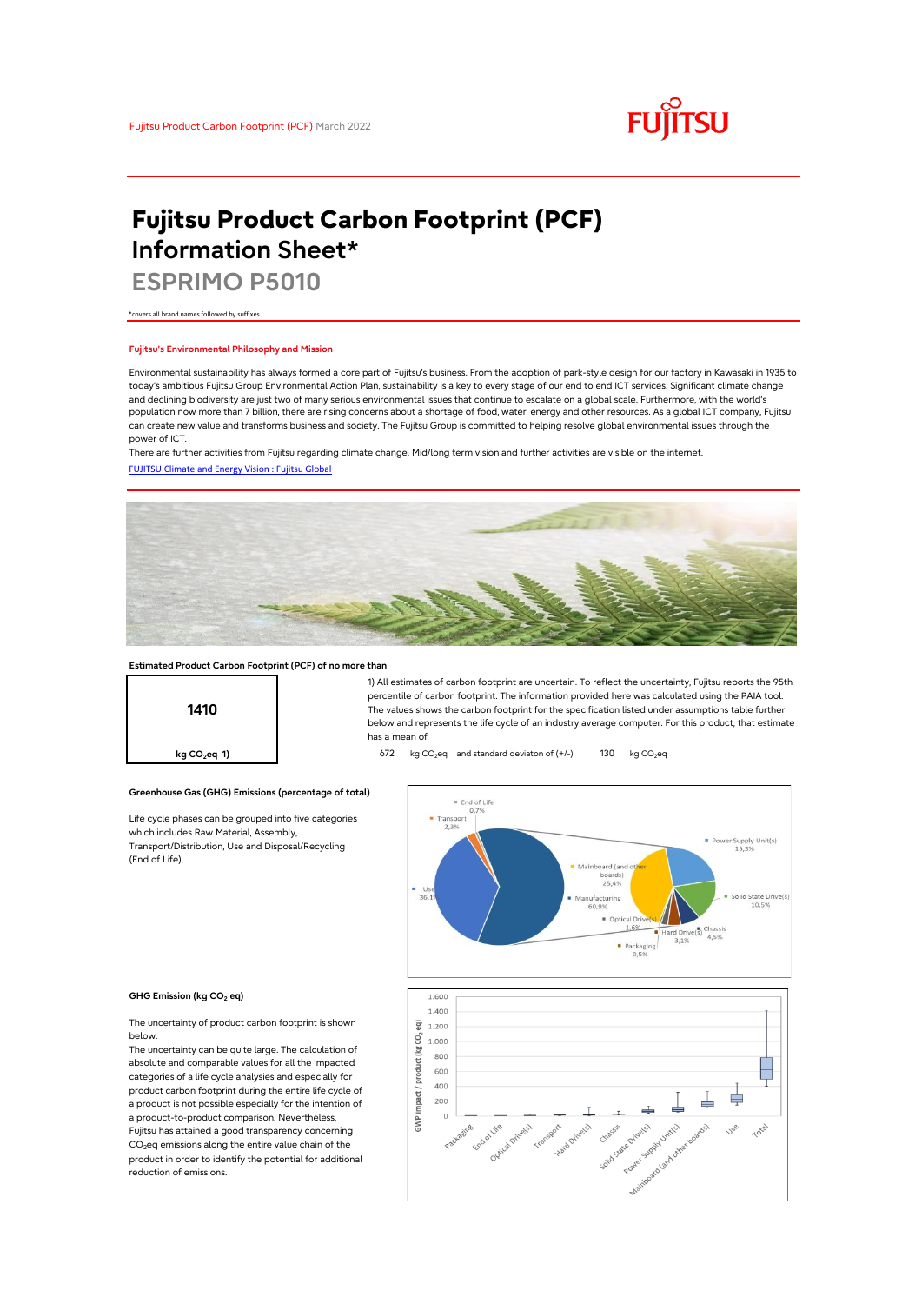

# **Fujitsu Product Carbon Footprint (PCF) Information Sheet\***

**ESPRIMO P5010**

\*covers all brand names followed by suffixes

## **Fujitsu's Environmental Philosophy and Mission**

Environmental sustainability has always formed a core part of Fujitsu's business. From the adoption of park-style design for our factory in Kawasaki in 1935 to today's ambitious Fujitsu Group Environmental Action Plan, sustainability is a key to every stage of our end to end ICT services. Significant climate change and declining biodiversity are just two of many serious environmental issues that continue to escalate on a global scale. Furthermore, with the world's population now more than 7 billion, there are rising concerns about a shortage of food, water, energy and other resources. As a global ICT company, Fujitsu can create new value and transforms business and society. The Fujitsu Group is committed to helping resolve global environmental issues through the power of ICT.

[FUJITSU Climate and Energy Vision : Fujitsu Global](https://www.fujitsu.com/global/about/environment/climate-energy-vision/) There are further activities from Fujitsu regarding climate change. Mid/long term vision and further activities are visible on the internet.



## **Estimated Product Carbon Footprint (PCF) of no more than**

**Greenhouse Gas (GHG) Emissions (percentage of total)**

Life cycle phases can be grouped into five categories

which includes Raw Material, Assembly, Transport/Distribution, Use and Disposal/Recycling



1) All estimates of carbon footprint are uncertain. To reflect the uncertainty, Fujitsu reports the 95th percentile of carbon footprint. The information provided here was calculated using the PAIA tool. The values shows the carbon footprint for the specification listed under assumptions table further below and represents the life cycle of an industry average computer. For this product, that estimate has a mean of

**kg CO<sub>2</sub>eq 1) b72** kg CO<sub>2</sub>eq and standard deviaton of (+/-) 130 kg CO<sub>2</sub>eq



### **GHG Emission (kg CO2 eq)**

(End of Life).

The uncertainty of product carbon footprint is shown below.

The uncertainty can be quite large. The calculation of absolute and comparable values for all the impacted categories of a life cycle analysies and especially for product carbon footprint during the entire life cycle of a product is not possible especially for the intention of a product-to-product comparison. Nevertheless, Fujitsu has attained a good transparency concerning  $CO<sub>2</sub>$ eq emissions along the entire value chain of the product in order to identify the potential for additional reduction of emissions.